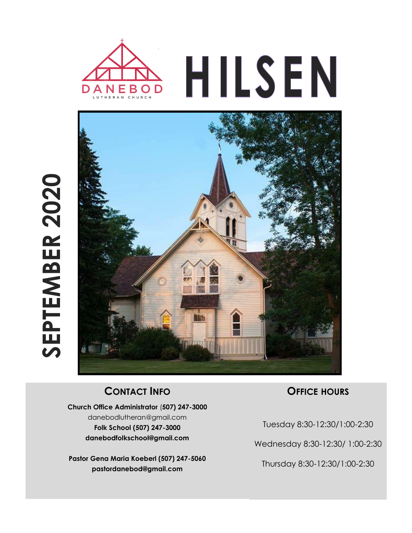



## **CONTACT INFO**

**Church Office Administrator** (**507) 247-3000** danebodlutheran@gmail.com **Folk School (507) 247-3000 danebodfolkschool@gmail.com**

**Pastor Gena Maria Koeberl (507) 247-5060 pastordanebod@gmail.com**

### **OFFICE HOURS**

Tuesday 8:30-12:30/1:00-2:30

Wednesday 8:30-12:30/ 1:00-2:30

Thursday 8:30-12:30/1:00-2:30

# SEPTEMBER 2020 **SEPTEMBER 2020**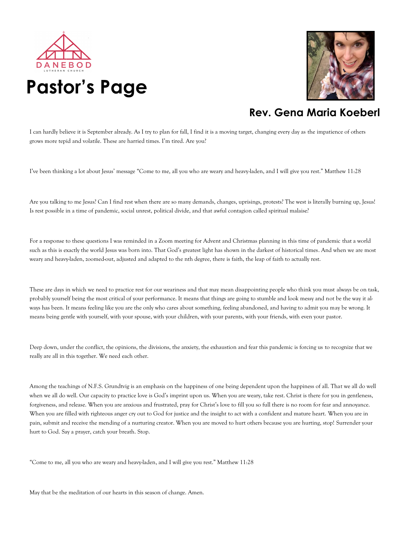



## **Rev. Gena Maria Koeberl**

I can hardly believe it is September already. As I try to plan for fall, I find it is a moving target, changing every day as the impatience of others grows more tepid and volatile. These are harried times. I'm tired. Are you?

I've been thinking a lot about Jesus' message "Come to me, all you who are weary and heavy-laden, and I will give you rest." Matthew 11:28

Are you talking to me Jesus? Can I find rest when there are so many demands, changes, uprisings, protests? The west is literally burning up, Jesus! Is rest possible in a time of pandemic, social unrest, political divide, and that awful contagion called spiritual malaise?

For a response to these questions I was reminded in a Zoom meeting for Advent and Christmas planning in this time of pandemic that a world such as this is exactly the world Jesus was born into. That God's greatest light has shown in the darkest of historical times. And when we are most weary and heavy-laden, zoomed-out, adjusted and adapted to the nth degree, there is faith, the leap of faith to actually rest.

These are days in which we need to practice rest for our weariness and that may mean disappointing people who think you must always be on task, probably yourself being the most critical of your performance. It means that things are going to stumble and look messy and not be the way it always has been. It means feeling like you are the only who cares about something, feeling abandoned, and having to admit you may be wrong. It means being gentle with yourself, with your spouse, with your children, with your parents, with your friends, with even your pastor.

Deep down, under the conflict, the opinions, the divisions, the anxiety, the exhaustion and fear this pandemic is forcing us to recognize that we really are all in this together. We need each other.

Among the teachings of N.F.S. Grundtvig is an emphasis on the happiness of one being dependent upon the happiness of all. That we all do well when we all do well. Our capacity to practice love is God's imprint upon us. When you are weary, take rest. Christ is there for you in gentleness, forgiveness, and release. When you are anxious and frustrated, pray for Christ's love to fill you so full there is no room for fear and annoyance. When you are filled with righteous anger cry out to God for justice and the insight to act with a confident and mature heart. When you are in pain, submit and receive the mending of a nurturing creator. When you are moved to hurt others because you are hurting, stop! Surrender your hurt to God. Say a prayer, catch your breath. Stop.

"Come to me, all you who are weary and heavy-laden, and I will give you rest." Matthew 11:28

May that be the meditation of our hearts in this season of change. Amen.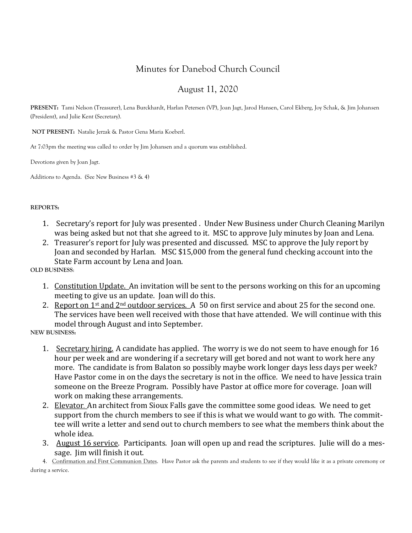## Minutes for Danebod Church Council

### August 11, 2020

**PRESENT:** Tami Nelson (Treasurer), Lena Burckhardt, Harlan Petersen (VP), Joan Jagt, Jarod Hansen, Carol Ekberg, Joy Schak, & Jim Johansen (President), and Julie Kent (Secretary).

**NOT PRESENT:** Natalie Jerzak & Pastor Gena Maria Koeberl.

At 7:03pm the meeting was called to order by Jim Johansen and a quorum was established.

Devotions given by Joan Jagt.

Additions to Agenda. (See New Business #3 & 4)

### **REPORTS:**

- 1. Secretary's report for July was presented . Under New Business under Church Cleaning Marilyn was being asked but not that she agreed to it. MSC to approve July minutes by Joan and Lena.
- 2. Treasurer's report for July was presented and discussed. MSC to approve the July report by Joan and seconded by Harlan. MSC \$15,000 from the general fund checking account into the State Farm account by Lena and Joan.

**OLD BUSINESS**:

- 1. Constitution Update. An invitation will be sent to the persons working on this for an upcoming meeting to give us an update. Joan will do this.
- 2. Report on 1st and 2nd outdoor services. A 50 on first service and about 25 for the second one. The services have been well received with those that have attended. We will continue with this model through August and into September.

**NEW BUSINESS:**

- 1. Secretary hiring. A candidate has applied. The worry is we do not seem to have enough for 16 hour per week and are wondering if a secretary will get bored and not want to work here any more. The candidate is from Balaton so possibly maybe work longer days less days per week? Have Pastor come in on the days the secretary is not in the office. We need to have Jessica train someone on the Breeze Program. Possibly have Pastor at office more for coverage. Joan will work on making these arrangements.
- 2. Elevator. An architect from Sioux Falls gave the committee some good ideas. We need to get support from the church members to see if this is what we would want to go with. The committee will write a letter and send out to church members to see what the members think about the whole idea.
- 3. August 16 service. Participants. Joan will open up and read the scriptures. Julie will do a message. Jim will finish it out.

4. Confirmation and First Communion Dates. Have Pastor ask the parents and students to see if they would like it as a private ceremony or during a service.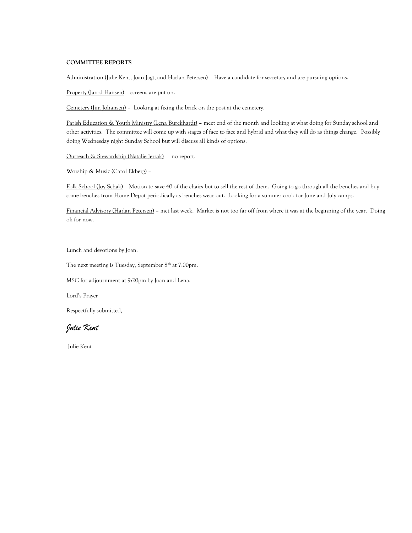### **COMMITTEE REPORTS**

Administration (Julie Kent, Joan Jagt, and Harlan Petersen) – Have a candidate for secretary and are pursuing options.

Property (Jarod Hansen) – screens are put on.

Cemetery (Jim Johansen) – Looking at fixing the brick on the post at the cemetery.

Parish Education & Youth Ministry (Lena Burckhardt) - meet end of the month and looking at what doing for Sunday school and other activities. The committee will come up with stages of face to face and hybrid and what they will do as things change. Possibly doing Wednesday night Sunday School but will discuss all kinds of options.

Outreach & Stewardship (Natalie Jerzak) – no report.

Worship & Music (Carol Ekberg) –

Folk School (Joy Schak) – Motion to save 40 of the chairs but to sell the rest of them. Going to go through all the benches and buy some benches from Home Depot periodically as benches wear out. Looking for a summer cook for June and July camps.

Financial Advisory (Harlan Petersen) – met last week. Market is not too far off from where it was at the beginning of the year. Doing ok for now.

Lunch and devotions by Joan.

The next meeting is Tuesday, September  $8<sup>th</sup>$  at 7:00pm.

MSC for adjournment at 9:20pm by Joan and Lena.

Lord's Prayer

Respectfully submitted,

*Julie Kent*

Julie Kent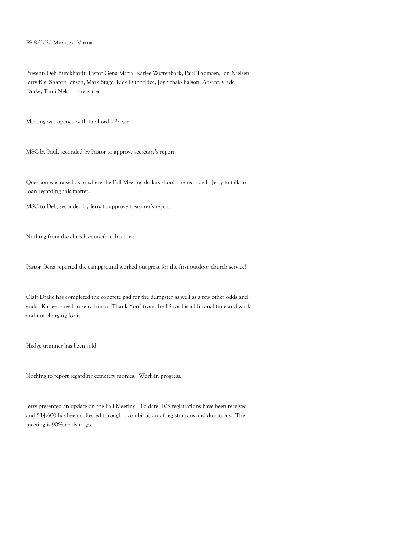Present: Deb Burckhardt, Pastor Gena Maria, Karlee Wyttenback, Paul Thomsen, Jan Nielsen, Jerry Bly, Sharon Jensen, Mark Stage, Rick Dubbeldee, Joy Schak- liaison Absent: Cade Drake, Tami Nelson - treasurer

Meeting was opened with the Lord's Prayer.

MSC by Paul, seconded by Pastor to approve secretary's report.

Question was raised as to where the Fall Meeting dollars should be recorded. Jerry to talk to Joan regarding this matter.

MSC to Deb, seconded by Jerry to approve treasurer's report.

Nothing from the church council at this time.

Pastor Gena reported the campground worked out great for the first outdoor church service!

Clair Drake has completed the concrete pad for the dumpster as well as a few other odds and ends. Karlee agreed to send him a "Thank You" from the FS for his additional time and work and not charging for it.

Hedge trimmer has been sold.

Nothing to report regarding cemetery monies. Work in progress.

Jerry presented an update on the Fall Meeting. To date, 103 registrations have been received and \$14,600 has been collected through a combination of registrations and donations. The meeting is 90% ready to go.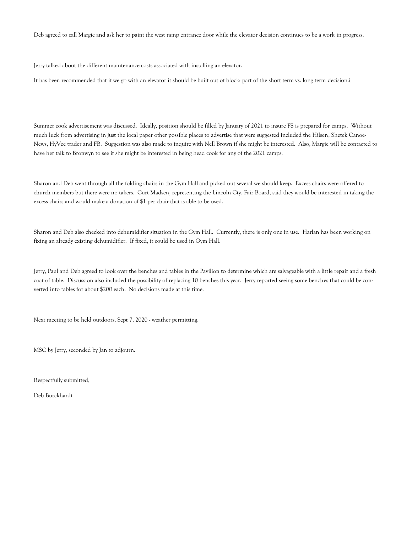Deb agreed to call Margie and ask her to paint the west ramp entrance door while the elevator decision continues to be a work in progress.

Jerry talked about the different maintenance costs associated with installing an elevator.

It has been recommended that if we go with an elevator it should be built out of block; part of the short term vs. long term decision.i

Summer cook advertisement was discussed. Ideally, position should be filled by January of 2021 to insure FS is prepared for camps. Without much luck from advertising in just the local paper other possible places to advertise that were suggested included the Hilsen, Shetek Canoe-News, HyVee trader and FB. Suggestion was also made to inquire with Nell Brown if she might be interested. Also, Margie will be contacted to have her talk to Bronwyn to see if she might be interested in being head cook for any of the 2021 camps.

Sharon and Deb went through all the folding chairs in the Gym Hall and picked out several we should keep. Excess chairs were offered to church members but there were no takers. Curt Madsen, representing the Lincoln Cty. Fair Board, said they would be interested in taking the excess chairs and would make a donation of \$1 per chair that is able to be used.

Sharon and Deb also checked into dehumidifier situation in the Gym Hall. Currently, there is only one in use. Harlan has been working on fixing an already existing dehumidifier. If fixed, it could be used in Gym Hall.

Jerry, Paul and Deb agreed to look over the benches and tables in the Pavilion to determine which are salvageable with a little repair and a fresh coat of table. Discussion also included the possibility of replacing 10 benches this year. Jerry reported seeing some benches that could be converted into tables for about \$200 each. No decisions made at this time.

Next meeting to be held outdoors, Sept 7, 2020 - weather permitting.

MSC by Jerry, seconded by Jan to adjourn.

Respectfully submitted,

Deb Burckhardt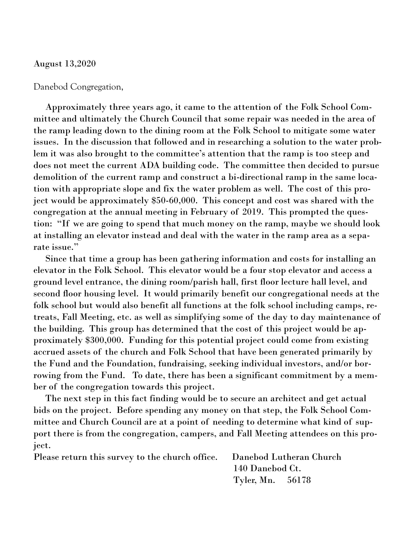### August 13,2020

### Danebod Congregation,

 Approximately three years ago, it came to the attention of the Folk School Committee and ultimately the Church Council that some repair was needed in the area of the ramp leading down to the dining room at the Folk School to mitigate some water issues. In the discussion that followed and in researching a solution to the water problem it was also brought to the committee's attention that the ramp is too steep and does not meet the current ADA building code. The committee then decided to pursue demolition of the current ramp and construct a bi-directional ramp in the same location with appropriate slope and fix the water problem as well. The cost of this project would be approximately \$50-60,000. This concept and cost was shared with the congregation at the annual meeting in February of 2019. This prompted the question: "If we are going to spend that much money on the ramp, maybe we should look at installing an elevator instead and deal with the water in the ramp area as a separate issue."

 Since that time a group has been gathering information and costs for installing an elevator in the Folk School. This elevator would be a four stop elevator and access a ground level entrance, the dining room/parish hall, first floor lecture hall level, and second floor housing level. It would primarily benefit our congregational needs at the folk school but would also benefit all functions at the folk school including camps, retreats, Fall Meeting, etc. as well as simplifying some of the day to day maintenance of the building. This group has determined that the cost of this project would be approximately \$300,000. Funding for this potential project could come from existing accrued assets of the church and Folk School that have been generated primarily by the Fund and the Foundation, fundraising, seeking individual investors, and/or borrowing from the Fund. To date, there has been a significant commitment by a member of the congregation towards this project.

 The next step in this fact finding would be to secure an architect and get actual bids on the project. Before spending any money on that step, the Folk School Committee and Church Council are at a point of needing to determine what kind of support there is from the congregation, campers, and Fall Meeting attendees on this project.

| Please return this survey to the church office. Danebod Lutheran Church |                  |  |  |  |
|-------------------------------------------------------------------------|------------------|--|--|--|
|                                                                         | 140 Danebod Ct.  |  |  |  |
|                                                                         | Tyler, Mn. 56178 |  |  |  |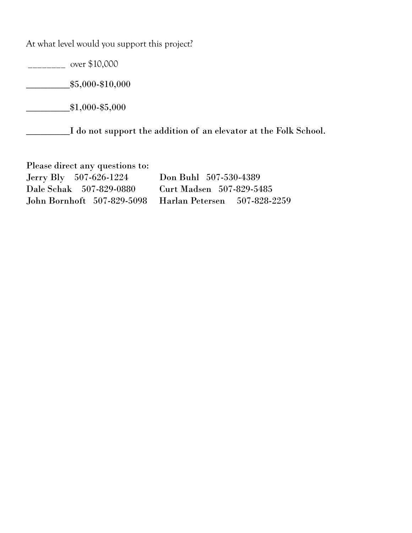At what level would you support this project?

 $\frac{1}{2}$  over \$10,000

 $\frac{$5,000 - $10,000}{ }$ 

 $*1,000$ -\$5,000

\_\_\_\_\_\_\_\_\_I do not support the addition of an elevator at the Folk School.

Please direct any questions to: Jerry Bly 507-626-1224 Don Buhl 507-530-4389 Dale Schak 507-829-0880 Curt Madsen 507-829-5485 John Bornhoft 507-829-5098 Harlan Petersen 507-828-2259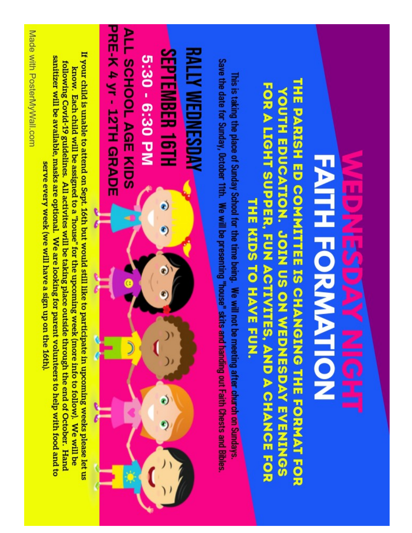

# THE PARISH ED COMMITTEE IS CHANGING THE FORMAT FOR FOR A LIGHT SUPPER, FUN ACTIVITES, AND A CHANCE FOR YOUTH EDUCATION. JOIN US ON WEDNESDAY EVENINGS THE KIDS TO HAVE FUN.

Save the date for Sunday, October 11th. We will be presenting "house" skits and handing out Faith Chests and Bibles This is taking the place of Sunday School for the time being. We will not be meeting after church on Sundays

**PRE-K 4 yr - 12TH GRADE** ALL SCHOOL AGE KIDS **SEPTEMBER 16TH** RALLY WEDNESDAY 5:30 - 6:30 PM

If your child is unable to attend on Sept. 16th but would still like to participate in upcoming weeks please let us sanitizer will be available, masks are optional. We are looking for parent volunteers to help with food and to following Covid-19 guidelines. All activites will be taking place outside through the end of October. Hand know. Each child will be assigned to a "house" for the upcoming week (more info to follow). We will be serve every week (we will have a sign up on the 16th)

Made with PosterMyWall.com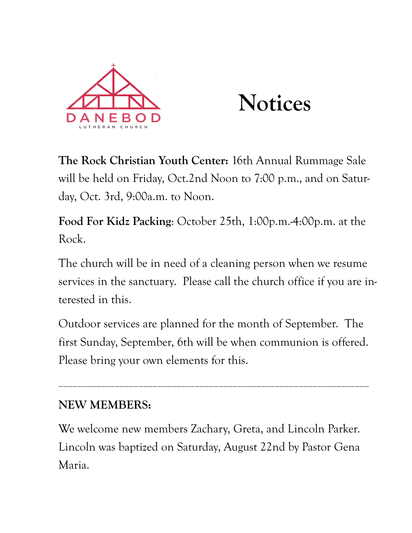

# **Notices**

**The Rock Christian Youth Center:** 16th Annual Rummage Sale will be held on Friday, Oct.2nd Noon to 7:00 p.m., and on Saturday, Oct. 3rd, 9:00a.m. to Noon.

**Food For Kidz Packing**: October 25th, 1:00p.m.-4:00p.m. at the Rock.

The church will be in need of a cleaning person when we resume services in the sanctuary. Please call the church office if you are interested in this.

Outdoor services are planned for the month of September. The first Sunday, September, 6th will be when communion is offered. Please bring your own elements for this.

\_\_\_\_\_\_\_\_\_\_\_\_\_\_\_\_\_\_\_\_\_\_\_\_\_\_\_\_\_\_\_\_\_\_\_\_\_\_\_\_\_\_\_\_\_\_\_\_\_\_\_\_\_\_\_\_\_\_\_\_\_\_\_\_\_\_

# **NEW MEMBERS:**

We welcome new members Zachary, Greta, and Lincoln Parker. Lincoln was baptized on Saturday, August 22nd by Pastor Gena Maria.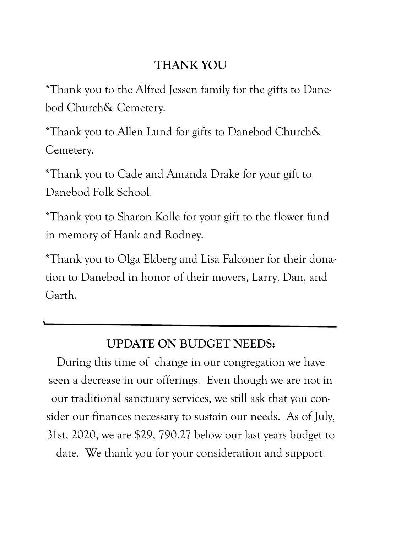# **THANK YOU**

\*Thank you to the Alfred Jessen family for the gifts to Danebod Church& Cemetery.

\*Thank you to Allen Lund for gifts to Danebod Church& Cemetery.

\*Thank you to Cade and Amanda Drake for your gift to Danebod Folk School.

\*Thank you to Sharon Kolle for your gift to the flower fund in memory of Hank and Rodney.

\*Thank you to Olga Ekberg and Lisa Falconer for their donation to Danebod in honor of their movers, Larry, Dan, and Garth.

# **UPDATE ON BUDGET NEEDS:**

During this time of change in our congregation we have seen a decrease in our offerings. Even though we are not in our traditional sanctuary services, we still ask that you consider our finances necessary to sustain our needs. As of July, 31st, 2020, we are \$29, 790.27 below our last years budget to date. We thank you for your consideration and support.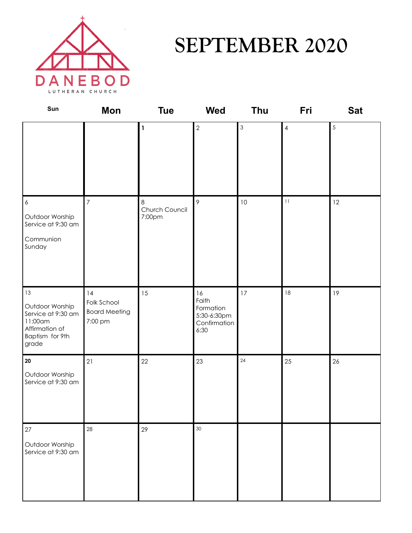

# **SEPTEMBER 2020**

| Sun                                                                                                  | Mon                                                  | <b>Tue</b>                    | <b>Wed</b>                                                      | Thu            | Fri                      | <b>Sat</b> |
|------------------------------------------------------------------------------------------------------|------------------------------------------------------|-------------------------------|-----------------------------------------------------------------|----------------|--------------------------|------------|
|                                                                                                      |                                                      | $\mathbf{1}$                  | $\overline{2}$                                                  | $\mathfrak{S}$ | $\overline{\mathcal{A}}$ | 5          |
| $\boldsymbol{6}$<br>Outdoor Worship<br>Service at 9:30 am<br>Communion<br>Sunday                     | $\overline{7}$                                       | 8<br>Church Council<br>7:00pm | 9                                                               | $10$           | 11                       | 12         |
| 13<br>Outdoor Worship<br>Service at 9:30 am<br>11:00am<br>Affirmation of<br>Baptism for 9th<br>grade | 14<br>Folk School<br><b>Board Meeting</b><br>7:00 pm | 15                            | 16<br>Faith<br>Formation<br>5:30-6:30pm<br>Confirmation<br>6:30 | 17             | 18                       | 19         |
| $20\,$<br>Outdoor Worship<br>Service at 9:30 am                                                      | 21                                                   | 22                            | 23                                                              | 24             | 25                       | 26         |
| $27\,$<br>Outdoor Worship<br>Service at 9:30 am                                                      | 28                                                   | 29                            | 30                                                              |                |                          |            |